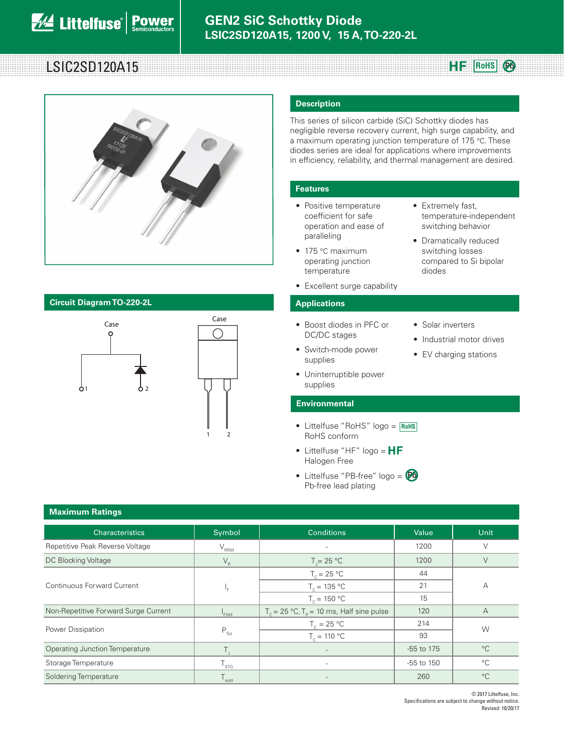# **Rows RF** RoHS



# **Circuit Diagram TO-220-2L Applications**



1 2

## **Description**

**SiC School School School School School School School School School School School School School School School S<br>a maximum operating junction temperature of 175 °C. These** This series of silicon carbide (SiC) Schottky diodes has negligible reverse recovery current, high surge capability, and diodes series are ideal for applications where improvements in efficiency, reliability, and thermal management are desired.

## **Features**

- Positive temperature coefficient for safe operation and ease of paralleling
- 175 °C maximum operating junction temperature
- Excellent surge capability

- Boost diodes in PFC or DC/DC stages
- Switch-mode power supplies
- Industrial motor drives

• Solar inverters

diodes

• Extremely fast,

temperature-independent switching behavior • Dramatically reduced switching losses compared to Si bipolar

**Pb**

- EV charging stations
- supplies **Environmental**

• Uninterruptible power

- Littelfuse "RoHS" logo = **RoHS** RoHS conform
- Littelfuse "HF"  $logo = HF$ Halogen Free
- Littelfuse "PB-free" logo = **Pb**Pb-free lead plating

| <b>Maximum Ratings</b>                |                           |                                                             |            |                                                |  |
|---------------------------------------|---------------------------|-------------------------------------------------------------|------------|------------------------------------------------|--|
| <b>Characteristics</b>                | Symbol                    | <b>Conditions</b>                                           | Value      | Unit                                           |  |
| Repetitive Peak Reverse Voltage       | $\rm V_{\rm RRM}$         | $\overline{\phantom{a}}$                                    | 1200       | V                                              |  |
| DC Blocking Voltage                   | $V_R$                     | $T = 25 °C$                                                 | 1200       | $\vee$                                         |  |
| <b>Continuous Forward Current</b>     | ⊩ ا                       | $T_c = 25 °C$                                               | 44         |                                                |  |
|                                       |                           | $T_c = 135 °C$                                              | 21         | Α                                              |  |
|                                       |                           | $T_c = 150 °C$                                              | 15         |                                                |  |
| Non-Repetitive Forward Surge Current  | <sup>'</sup> FSM          | $T_c = 25 \text{ °C}, T_p = 10 \text{ ms},$ Half sine pulse | 120        | $\overline{A}$                                 |  |
| Power Dissipation                     |                           | $T_c = 25 °C$                                               | 214        |                                                |  |
|                                       | $\mathsf{P}_{\sf Tot}$    | $T_c = 110 °C$                                              | 93         | W<br>$^{\circ}C$<br>$^{\circ}C$<br>$^{\circ}C$ |  |
| <b>Operating Junction Temperature</b> | Τ.                        |                                                             | -55 to 175 |                                                |  |
| Storage Temperature                   | $\mathsf{T}_{\text{STG}}$ | $\qquad \qquad -$                                           | -55 to 150 |                                                |  |
| Soldering Temperature                 | $T_{\rm sold}$            |                                                             | 260        |                                                |  |

### **Maximum Ratings**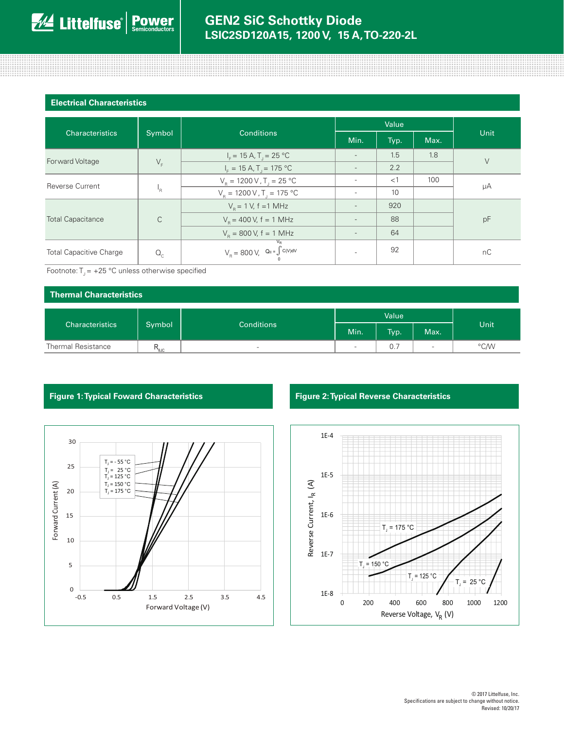0000000000000000

### **Electrical Characteristics**

| <b>Characteristics</b>         | Symbol       | <b>Conditions</b>                                    | Value |      |      |      |  |
|--------------------------------|--------------|------------------------------------------------------|-------|------|------|------|--|
|                                |              |                                                      | Min.  | Typ. | Max. | Unit |  |
| Forward Voltage                | $V_F$        | $I_F = 15 A, T_J = 25 °C$                            |       | 1.5  | 1.8  | V    |  |
|                                |              | $I_{\rm F} = 15 \text{ A}$ , T <sub>1</sub> = 175 °C |       | 2.2  |      |      |  |
| <b>Reverse Current</b>         | 'R           | $V_B = 1200 V, T_I = 25 °C$                          |       | <1   | 100  |      |  |
|                                |              | $V_R = 1200 \text{ V}$ , T <sub>1</sub> = 175 °C     |       | 10   |      | μA   |  |
| <b>Total Capacitance</b>       | $\mathsf{C}$ | $V_{\rm p} = 1$ V, f = 1 MHz                         |       | 920  |      | pF   |  |
|                                |              | $V_{\rm B}$ = 400 V, f = 1 MHz                       |       | 88   |      |      |  |
|                                |              | $V_{\rm B} = 800$ V, f = 1 MHz                       |       | 64   |      |      |  |
| <b>Total Capacitive Charge</b> | $Q_c$        | $V_R = 800 \text{ V}, \quad Q_c = \int_0^R C(V) dV$  |       | 92   |      | nC   |  |

Footnote:  $T_1 = +25$  °C unless otherwise specified

# **Thermal Characteristics** Characteristics Symbol Conditions Value Unit Min. | Typ. | Max. Thermal Resistance  $R_{\scriptscriptstyle\rm BIC}$  ,  $R_{\scriptscriptstyle\rm BIC}$  , and the set of the set of the set of the  $\sim$  0.7  $\sim$   $\sim$   $\sim$   $\sim$   $\sim$   $\sim$



# **Figure 1: Typical Foward Characteristics Figure 2: Typical Reverse Characteristics**

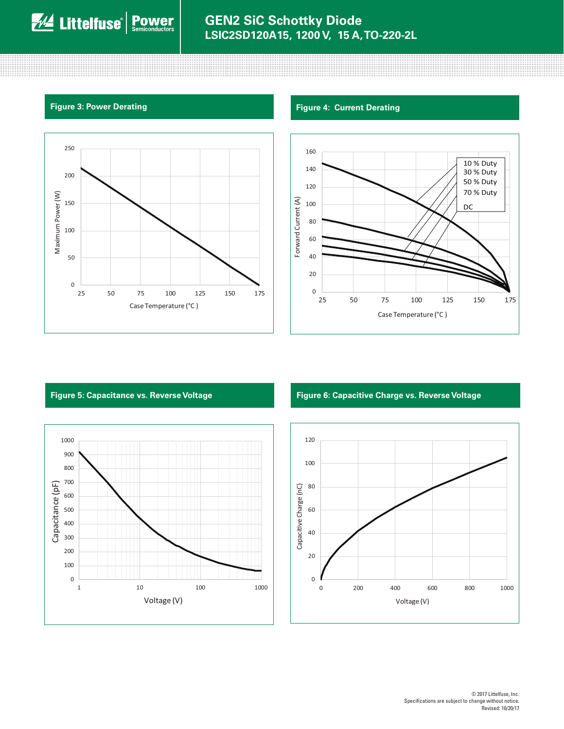



# **Figure 3: Power Derating Figure 4: Current Derating Figure 4: Current Derating**



# 1000 900 800 700 Capacitance (pF) Capacitance (pF) 600 500 400 300 200 100 0 1 10 100 1000 Voltage (V)

# **Figure 5: Capacitance vs. Reverse Voltage Figure 6: Capacitive Charge vs. Reverse Voltage**

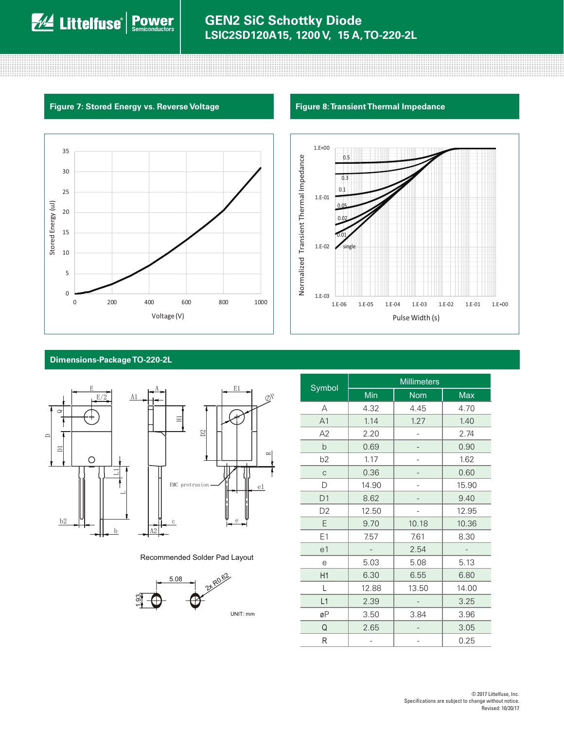# Figure 7: Stored Energy vs. Reverse Voltage

and the contract of the contract of the contract of the contract of the contract of the contract of the contract of





# Dimensions-Package TO-220-2L



Recommended Solder Pad Layout



|                | <b>Millimeters</b> |            |            |  |  |
|----------------|--------------------|------------|------------|--|--|
| Symbol         | Min                | <b>Nom</b> | <b>Max</b> |  |  |
| A              | 4.32               | 4.45       | 4.70       |  |  |
| A1             | 1.14               | 1.27       | 1.40       |  |  |
| A2             | 2.20               |            | 2.74       |  |  |
| b              | 0.69               |            | 0.90       |  |  |
| b <sub>2</sub> | 1.17               |            | 1.62       |  |  |
| $\mathsf C$    | 0.36               |            | 0.60       |  |  |
| D              | 14.90              |            | 15.90      |  |  |
| D1             | 8.62               |            | 9.40       |  |  |
| D <sub>2</sub> | 12.50              |            | 12.95      |  |  |
| E              | 9.70               | 10.18      | 10.36      |  |  |
| E1             | 7.57               | 7.61       | 8.30       |  |  |
| e1             |                    | 2.54       |            |  |  |
| e              | 5.03               | 5.08       | 5.13       |  |  |
| H <sub>1</sub> | 6.30               | 6.55       | 6.80       |  |  |
| L              | 12.88              | 13.50      | 14.00      |  |  |
| L1             | 2.39               |            | 3.25       |  |  |
| øΡ             | 3.50               | 3.84       | 3.96       |  |  |
| Q              | 2.65               |            | 3.05       |  |  |
| R              |                    |            | 0.25       |  |  |

# **Figure 8: Transient Thermal Impedance**